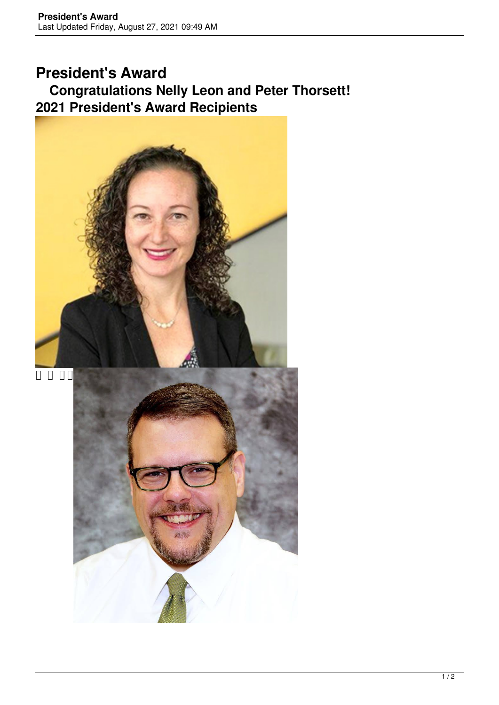## **President's Award Congratulations Nelly Leon and Peter Thorsett! 2021 President's Award Recipients**